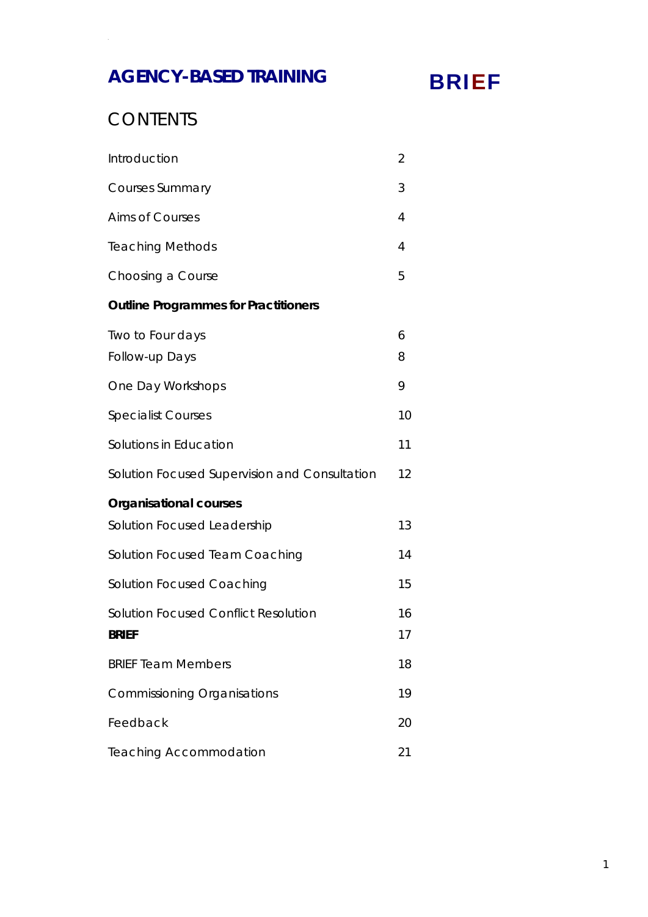# **AGENCY-BASED TRAINING**

# BRIEF

## **CONTENTS**

| Introduction                                                | $\overline{2}$ |
|-------------------------------------------------------------|----------------|
| <b>Courses Summary</b>                                      | 3              |
| <b>Aims of Courses</b>                                      | 4              |
| <b>Teaching Methods</b>                                     | 4              |
| Choosing a Course                                           | 5              |
| <b>Outline Programmes for Practitioners</b>                 |                |
| Two to Four days<br>Follow-up Days                          | 6<br>8         |
| One Day Workshops                                           | 9              |
| <b>Specialist Courses</b>                                   | 10             |
| Solutions in Education                                      | 11             |
| Solution Focused Supervision and Consultation               | 12             |
| <b>Organisational courses</b>                               |                |
| Solution Focused Leadership                                 | 13             |
| Solution Focused Team Coaching                              | 14             |
| <b>Solution Focused Coaching</b>                            | 15             |
| <b>Solution Focused Conflict Resolution</b><br><b>BRIEF</b> | 16<br>17       |
| <b>BRIEF Team Members</b>                                   | 18             |
| <b>Commissioning Organisations</b>                          | 19             |
| Feedback                                                    | 20             |
| <b>Teaching Accommodation</b>                               | 21             |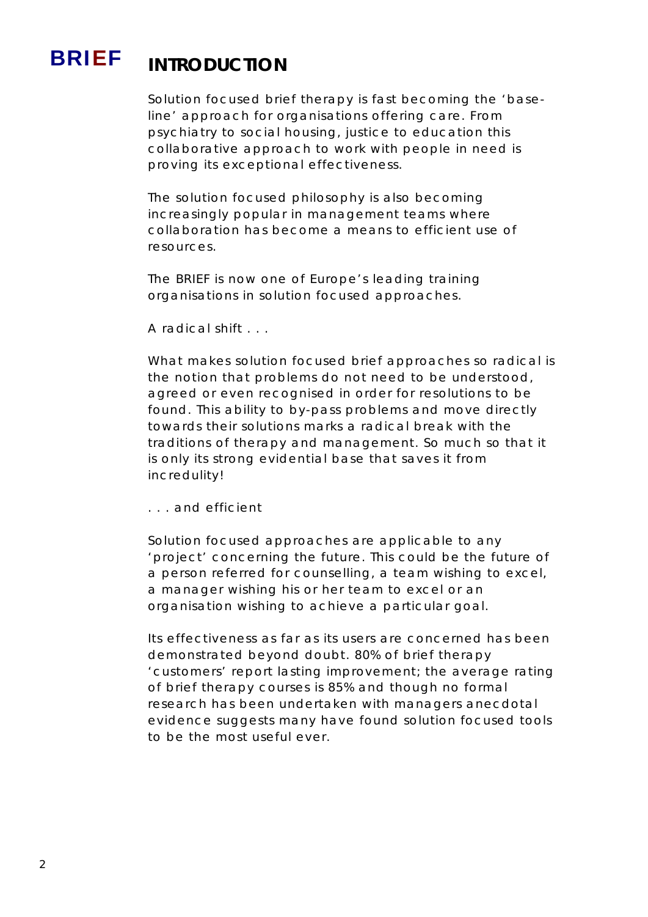# BRIEF **INTRODUCTION**

Solution focused brief therapy is fast becoming the 'baseline' approach for organisations offering care. From psychiatry to social housing, justice to education this collaborative approach to work with people in need is proving its exceptional effectiveness.

The solution focused philosophy is also becoming increasingly popular in management teams where collaboration has become a means to efficient use of resources.

The BRIEF is now one of Europe's leading training organisations in solution focused approaches.

A radical shift . . .

What makes solution focused brief approaches so radical is the notion that problems do not need to be understood, agreed or even recognised in order for resolutions to be found. This ability to by-pass problems and move directly towards their solutions marks a radical break with the traditions of therapy and management. So much so that it is only its strong evidential base that saves it from incredulity!

. . . and efficient

Solution focused approaches are applicable to any 'project' concerning the future. This could be the future of a person referred for counselling, a team wishing to excel, a manager wishing his or her team to excel or an organisation wishing to achieve a particular goal.

Its effectiveness as far as its users are concerned has been demonstrated beyond doubt. 80% of brief therapy 'customers' report lasting improvement; the average rating of brief therapy courses is 85% and though no formal research has been undertaken with managers anecdotal evidence suggests many have found solution focused tools to be the most useful ever.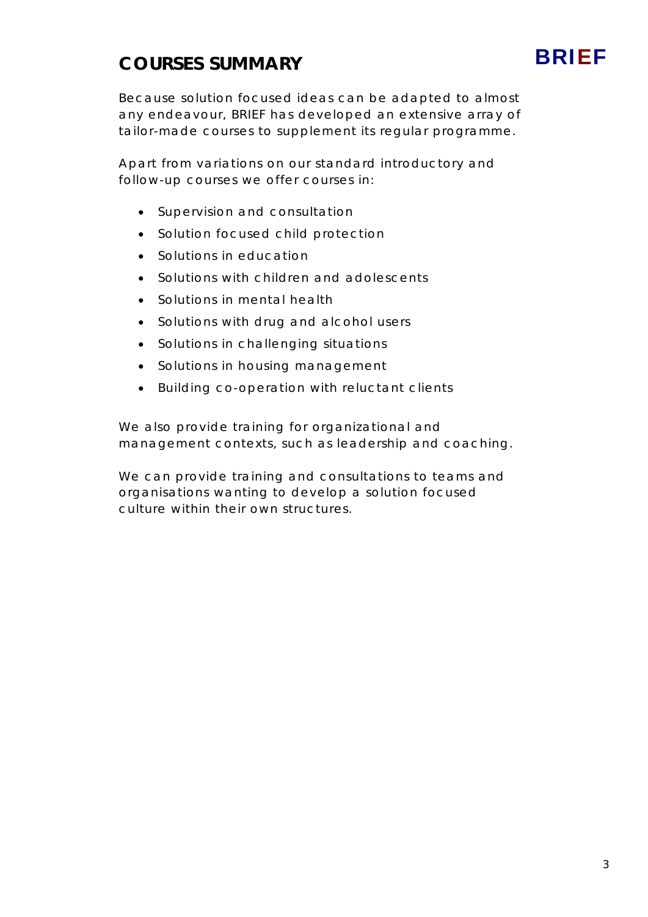# **COURSES SUMMARY**

# BRIEF

Because solution focused ideas can be adapted to almost any endeavour, BRIEF has developed an extensive array of tailor-made courses to supplement its regular programme.

Apart from variations on our standard introductory and follow-up courses we offer courses in:

- Supervision and consultation
- Solution focused child protection
- Solutions in education
- Solutions with children and adolescents
- Solutions in mental health
- Solutions with drug and alcohol users
- Solutions in challenging situations
- Solutions in housing management
- Building co-operation with reluctant clients

We also provide training for organizational and management contexts, such as leadership and coaching.

We can provide training and consultations to teams and organisations wanting to develop a solution focused culture within their own structures.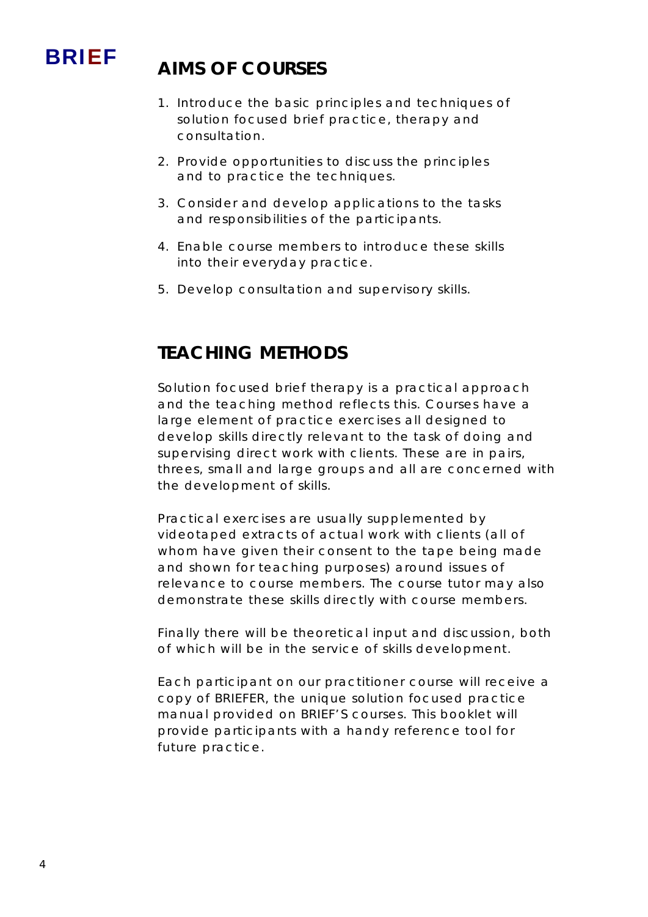

# BRIEF **AIMS OF COURSES**

- 1. Introduce the basic principles and techniques of solution focused brief practice, therapy and consultation.
- 2. Provide opportunities to discuss the principles and to practice the techniques.
- 3. Consider and develop applications to the tasks and responsibilities of the participants.
- 4. Enable course members to introduce these skills into their everyday practice.
- 5. Develop consultation and supervisory skills.

## **TEACHING METHODS**

Solution focused brief therapy is a practical approach and the teaching method reflects this. Courses have a large element of practice exercises all designed to develop skills directly relevant to the task of doing and supervising direct work with clients. These are in pairs, threes, small and large groups and all are concerned with the development of skills.

Practical exercises are usually supplemented by videotaped extracts of actual work with clients (all of whom have given their consent to the tape being made and shown for teaching purposes) around issues of relevance to course members. The course tutor may also demonstrate these skills directly with course members.

Finally there will be theoretical input and discussion, both of which will be in the service of skills development.

Each participant on our practitioner course will receive a copy of BRIEFER, the unique solution focused practice manual provided on BRIEF'S courses. This booklet will provide participants with a handy reference tool for future practice.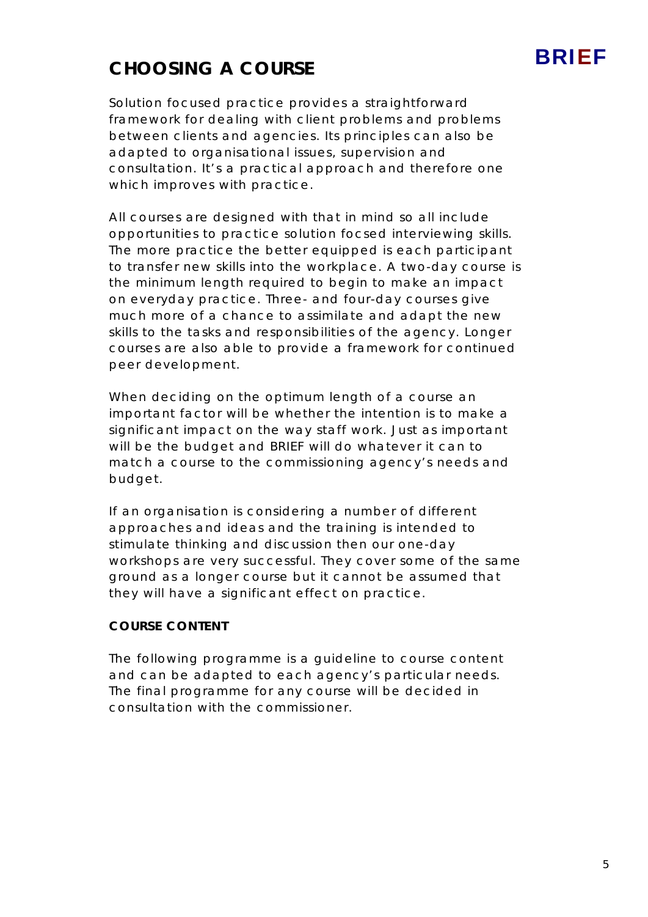# BRIEF

## **CHOOSING A COURSE**

Solution focused practice provides a straightforward framework for dealing with client problems and problems between clients and agencies. Its principles can also be adapted to organisational issues, supervision and consultation. It's a practical approach and therefore one which improves with practice.

All courses are designed with that in mind so all include opportunities to practice solution focsed interviewing skills. The more practice the better equipped is each participant to transfer new skills into the workplace. A two-day course is the minimum length required to begin to make an impact on everyday practice. Three- and four-day courses give much more of a chance to assimilate and adapt the new skills to the tasks and responsibilities of the agency. Longer courses are also able to provide a framework for continued peer development.

When deciding on the optimum length of a course an important factor will be whether the intention is to make a significant impact on the way staff work. Just as important will be the budget and BRIEF will do whatever it can to match a course to the commissioning agency's needs and budget.

If an organisation is considering a number of different approaches and ideas and the training is intended to stimulate thinking and discussion then our one-day workshops are very successful. They cover some of the same ground as a longer course but it cannot be assumed that they will have a significant effect on practice.

### **COURSE CONTENT**

The following programme is a guideline to course content and can be adapted to each agency's particular needs. The final programme for any course will be decided in consultation with the commissioner.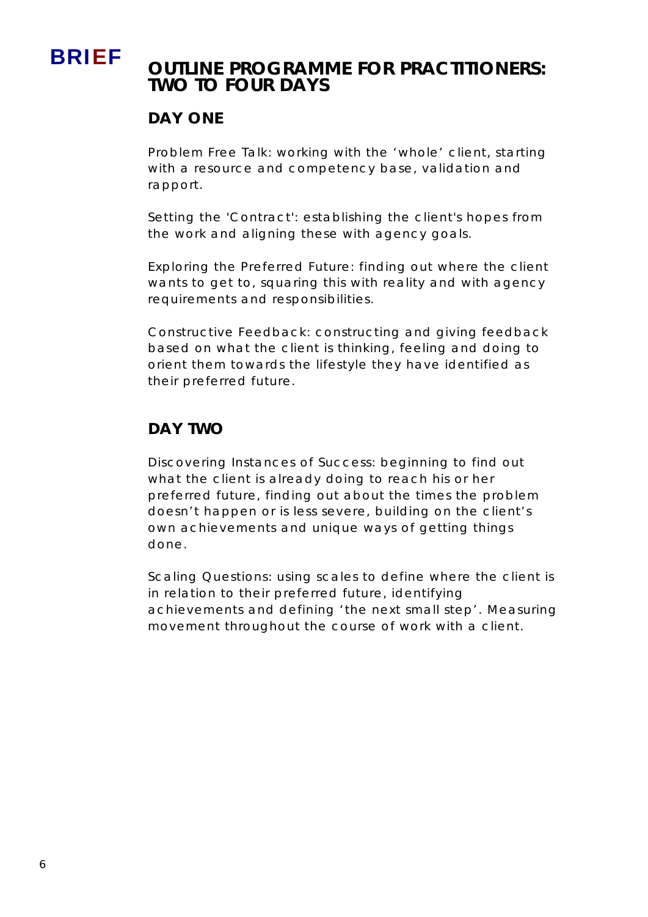# BRIEF **OUTLINE PROGRAMME FOR PRACTITIONERS: TWO TO FOUR DAYS**

### **DAY ONE**

Problem Free Talk: working with the 'whole' client, starting with a resource and competency base, validation and rapport.

Setting the 'Contract': establishing the client's hopes from the work and aligning these with agency goals.

Exploring the Preferred Future: finding out where the client wants to get to, squaring this with reality and with agency requirements and responsibilities.

Constructive Feedback: constructing and giving feedback based on what the client is thinking, feeling and doing to orient them towards the lifestyle they have identified as their preferred future.

### **DAY TWO**

Discovering Instances of Success: beginning to find out what the client is already doing to reach his or her preferred future, finding out about the times the problem doesn't happen or is less severe, building on the client's own achievements and unique ways of getting things done.

Scaling Questions: using scales to define where the client is in relation to their preferred future, identifying achievements and defining 'the next small step'. Measuring movement throughout the course of work with a client.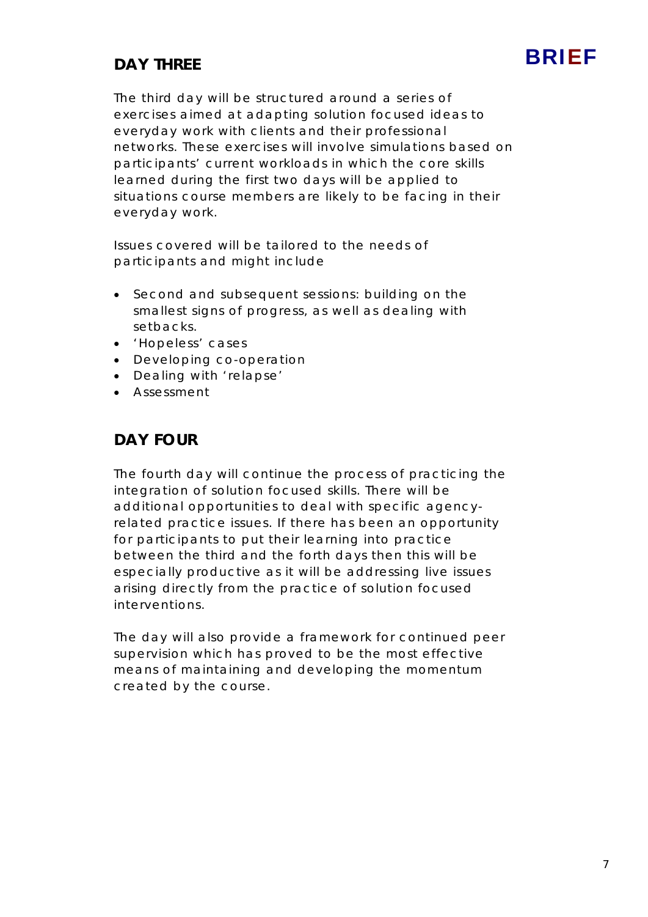### **DAY THREE**

The third day will be structured around a series of exercises aimed at adapting solution focused ideas to everyday work with clients and their professional networks. These exercises will involve simulations based on participants' current workloads in which the core skills learned during the first two days will be applied to situations course members are likely to be facing in their everyday work.

Issues covered will be tailored to the needs of participants and might include

- Second and subsequent sessions: building on the smallest signs of progress, as well as dealing with setbacks.
- 'Hopeless' cases
- Developing co-operation
- Dealing with 'relapse'
- Assessment

### **DAY FOUR**

The fourth day will continue the process of practicing the integration of solution focused skills. There will be additional opportunities to deal with specific agencyrelated practice issues. If there has been an opportunity for participants to put their learning into practice between the third and the forth days then this will be especially productive as it will be addressing live issues arising directly from the practice of solution focused interventions.

The day will also provide a framework for continued peer supervision which has proved to be the most effective means of maintaining and developing the momentum created by the course.

**BRIFF**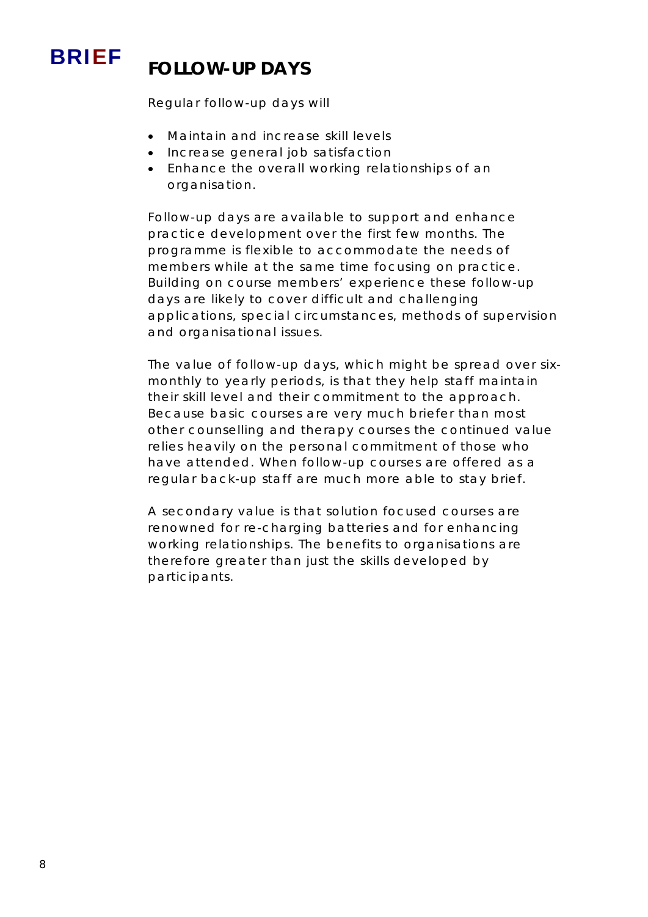

# BRIEF **FOLLOW-UP DAYS**

Regular follow-up days will

- Maintain and increase skill levels
- Increase general job satisfaction
- Enhance the overall working relationships of an organisation.

Follow-up days are available to support and enhance practice development over the first few months. The programme is flexible to accommodate the needs of members while at the same time focusing on practice. Building on course members' experience these follow-up days are likely to cover difficult and challenging applications, special circumstances, methods of supervision and organisational issues.

The value of follow-up days, which might be spread over sixmonthly to yearly periods, is that they help staff maintain their skill level and their commitment to the approach. Because basic courses are very much briefer than most other counselling and therapy courses the continued value relies heavily on the personal commitment of those who have attended. When follow-up courses are offered as a regular back-up staff are much more able to stay brief.

A secondary value is that solution focused courses are renowned for re-charging batteries and for enhancing working relationships. The benefits to organisations are therefore greater than just the skills developed by participants.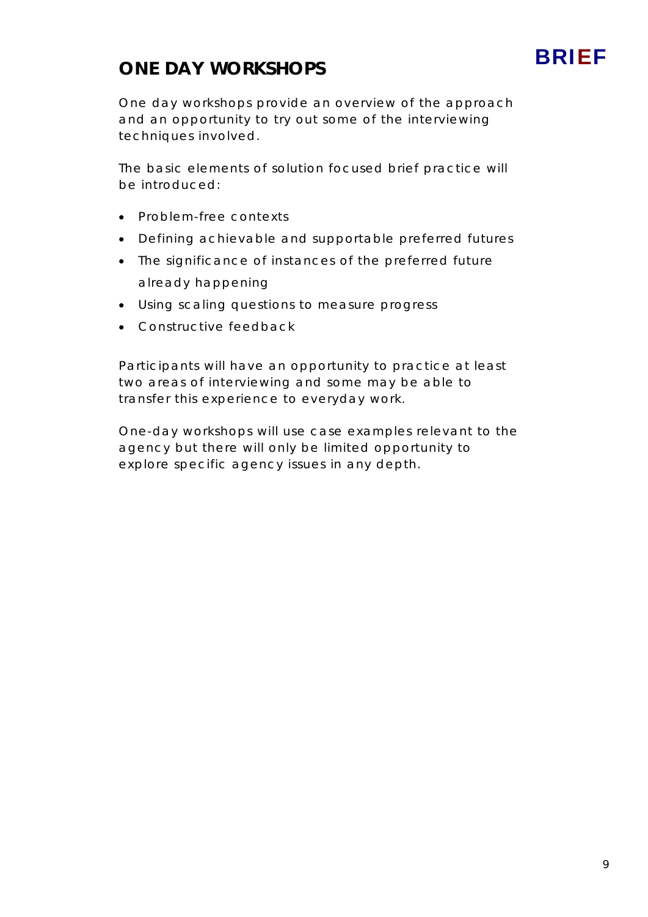# **BRIFF**

## **ONE DAY WORKSHOPS**

One day workshops provide an overview of the approach and an opportunity to try out some of the interviewing techniques involved.

The basic elements of solution focused brief practice will be introduced:

- Problem-free contexts
- Defining achievable and supportable preferred futures
- The significance of instances of the preferred future
	- already happening
- Using scaling questions to measure progress
- Constructive feedback

Participants will have an opportunity to practice at least two areas of interviewing and some may be able to transfer this experience to everyday work.

One-day workshops will use case examples relevant to the agency but there will only be limited opportunity to explore specific agency issues in any depth.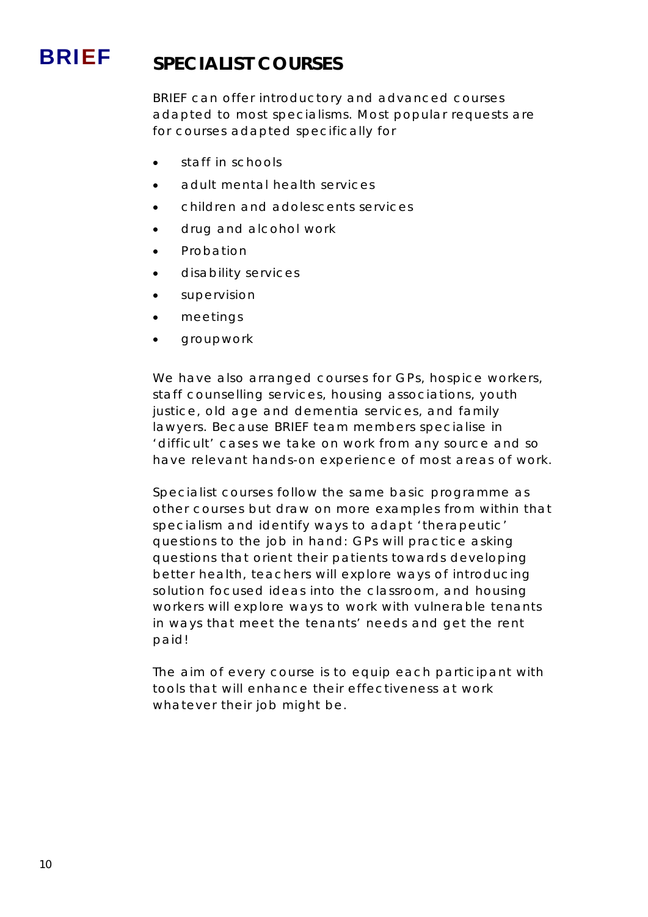# BRIEF **SPECIALIST COURSES**

BRIEF can offer introductory and advanced courses adapted to most specialisms. Most popular requests are for courses adapted specifically for

- staff in schools
- adult mental health services
- children and adolescents services
- drug and alcohol work
- Probation
- disability services
- supervision
- meetings
- groupwork

We have also arranged courses for GPs, hospice workers, staff counselling services, housing associations, youth justice, old age and dementia services, and family lawyers. Because BRIEF team members specialise in 'difficult' cases we take on work from any source and so have relevant hands-on experience of most areas of work.

Specialist courses follow the same basic programme as other courses but draw on more examples from within that specialism and identify ways to adapt 'therapeutic' questions to the job in hand: GPs will practice asking questions that orient their patients towards developing better health, teachers will explore ways of introducing solution focused ideas into the classroom, and housing workers will explore ways to work with vulnerable tenants in ways that meet the tenants' needs *and* get the rent paid!

The aim of *every* course is to equip each participant with tools that will enhance their effectiveness at work whatever their job might be.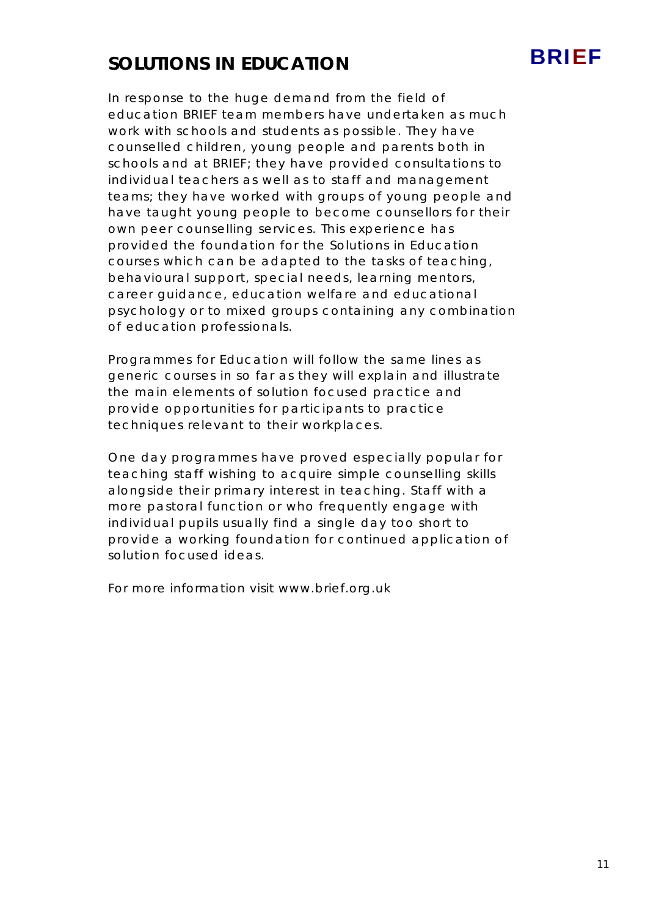# **SOLUTIONS IN EDUCATION**

In response to the huge demand from the field of education BRIEF team members have undertaken as much work with schools and students as possible. They have counselled children, young people and parents both in schools and at BRIEF; they have provided consultations to individual teachers as well as to staff and management teams; they have worked with groups of young people and have taught young people to become counsellors for their own peer counselling services. This experience has provided the foundation for the Solutions in Education courses which can be adapted to the tasks of teaching, behavioural support, special needs, learning mentors, career guidance, education welfare and educational psychology or to mixed groups containing any combination of education professionals.

Programmes for Education will follow the same lines as generic courses in so far as they will explain and illustrate the main elements of solution focused practice and provide opportunities for participants to practice techniques relevant to their workplaces.

One day programmes have proved especially popular for teaching staff wishing to acquire simple counselling skills alongside their primary interest in teaching. Staff with a more pastoral function or who frequently engage with individual pupils usually find a single day too short to provide a working foundation for continued application of solution focused ideas.

*For more information visit www.brief.org.uk*

BRIEF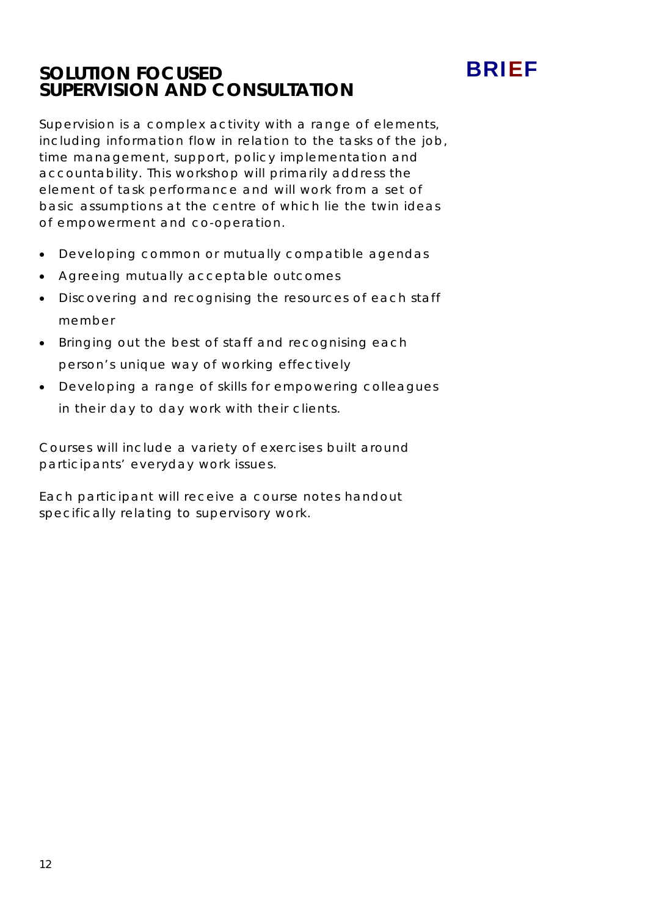### **SOLUTION FOCUSED SUPERVISION AND CONSULTATION**



BRIEF

- Developing common or mutually compatible agendas
- Agreeing mutually acceptable outcomes
- Discovering and recognising the resources of each staff member
- Bringing out the best of staff and recognising each person's unique way of working effectively
- Developing a range of skills for empowering colleagues in their day to day work with their clients.

Courses will include a variety of exercises built around participants' everyday work issues.

Each participant will receive a course notes handout specifically relating to supervisory work.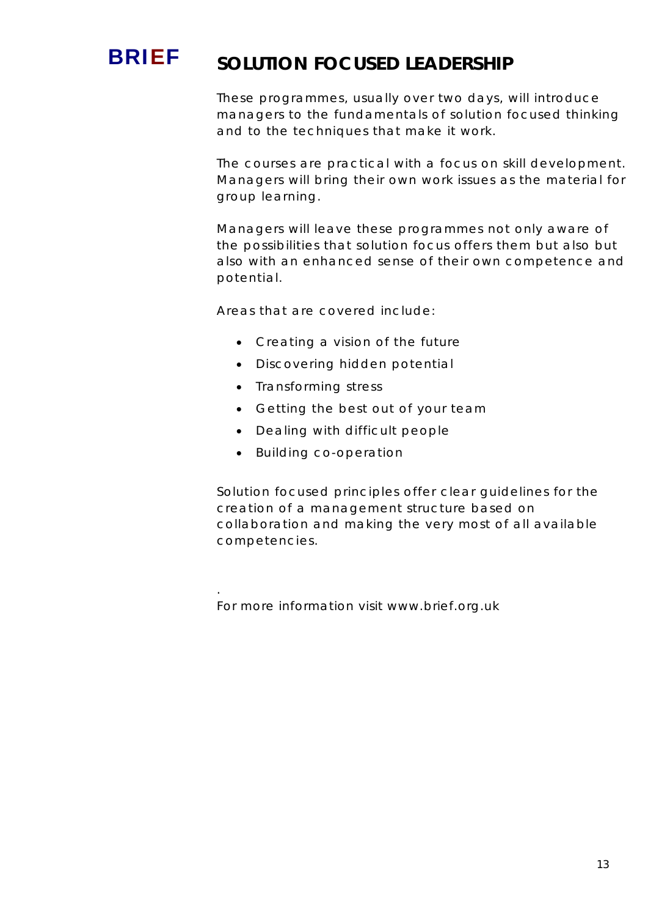# **BRIEF** SOLUTION FOCUSED LEADERSHIP

These programmes, usually over two days, will introduce managers to the fundamentals of solution focused thinking and to the techniques that make it work.

The courses are practical with a focus on skill development. Managers will bring their own work issues as the material for group learning.

Managers will leave these programmes not only aware of the possibilities that solution focus offers them but also but also with an enhanced sense of their own competence and potential.

Areas that are covered include:

- Creating a vision of the future
- Discovering hidden potential
- Transforming stress
- Getting the best out of your team
- Dealing with difficult people
- Building co-operation

*.* 

Solution focused principles offer clear guidelines for the creation of a management structure based on collaboration and making the very most of all available competencies.

*For more information visit www.brief.org.uk*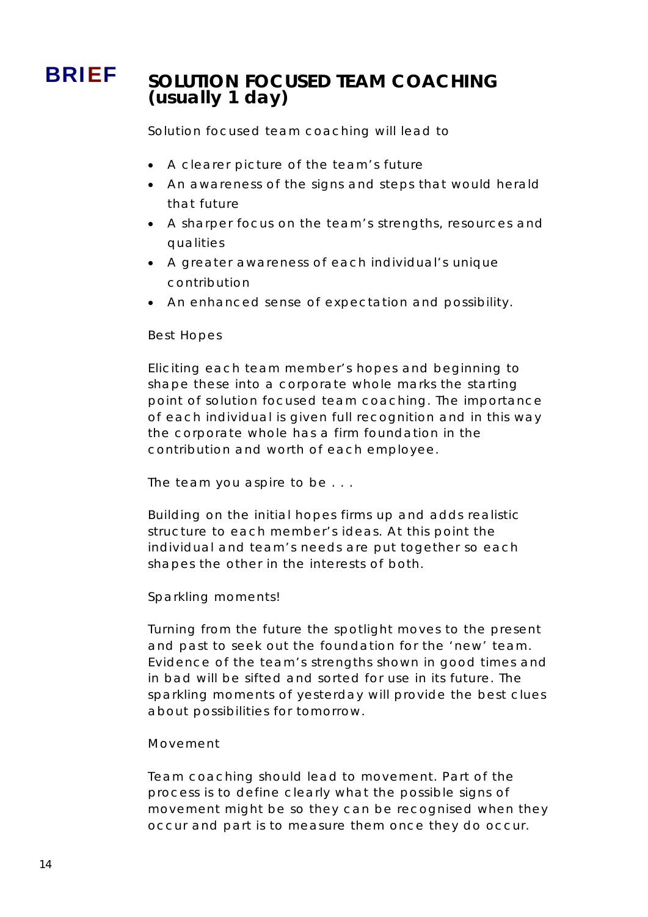# BRIEF **SOLUTION FOCUSED TEAM COACHING (usually 1 day)**

Solution focused team coaching will lead to

- A clearer picture of the team's future
- An awareness of the signs and steps that would herald that future
- A sharper focus on the team's strengths, resources and qualities
- A greater awareness of each individual's unique contribution
- An enhanced sense of expectation and possibility.

### *Best Hopes*

Eliciting each team member's hopes and beginning to shape these into a corporate whole marks the starting point of solution focused team coaching. The importance of each individual is given full recognition and in this way the corporate whole has a firm foundation in the contribution and worth of each employee.

### *The team you aspire to be* . . .

Building on the initial hopes firms up and adds realistic structure to each member's ideas. At this point the individual and team's needs are put together so each shapes the other in the interests of both.

### *Sparkling moments!*

Turning from the future the spotlight moves to the present and past to seek out the foundation for the 'new' team. Evidence of the team's strengths shown in good times and in bad will be sifted and sorted for use in its future. The sparkling moments of yesterday will provide the best clues about possibilities for tomorrow.

### *Movement*

Team coaching should lead to movement. Part of the process is to define clearly what the possible signs of movement might be so they can be recognised when they occur and part is to measure them once they do occur.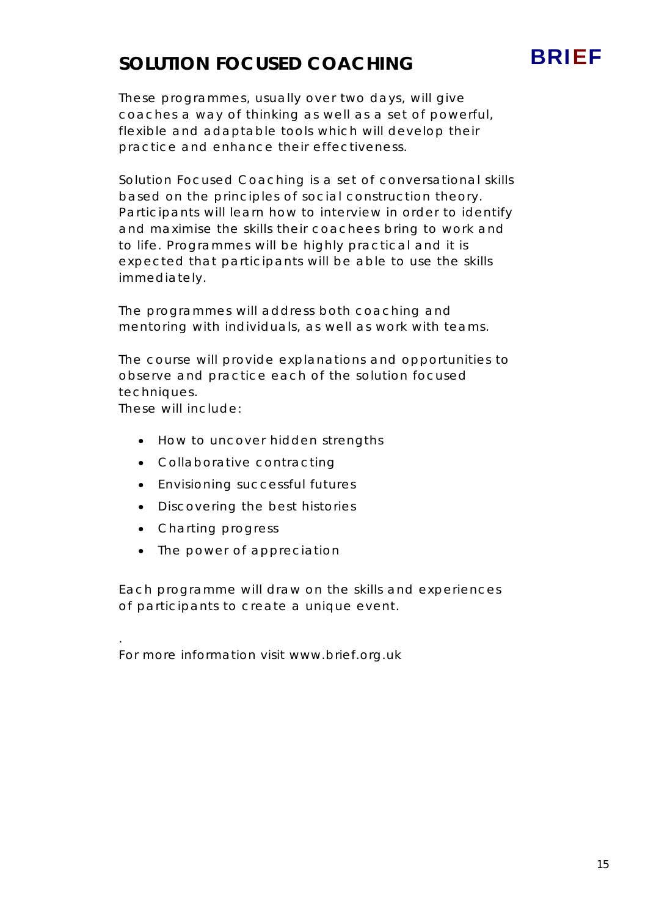# **SOLUTION FOCUSED COACHING**



Solution Focused Coaching is a set of conversational skills based on the principles of social construction theory. Participants will learn how to interview in order to identify and maximise the skills their coachees bring to work and to life. Programmes will be highly practical and it is expected that participants will be able to use the skills immediately.

The programmes will address both coaching and mentoring with individuals, as well as work with teams.

The course will provide explanations and opportunities to observe and practice each of the solution focused techniques.

These will include:

*.* 

- How to uncover hidden strengths
- Collaborative contracting
- Envisioning successful futures
- Discovering the best histories
- Charting progress
- The power of appreciation

Each programme will draw on the skills and experiences of participants to create a unique event.

*For more information visit www.brief.org.uk* 

BRIEF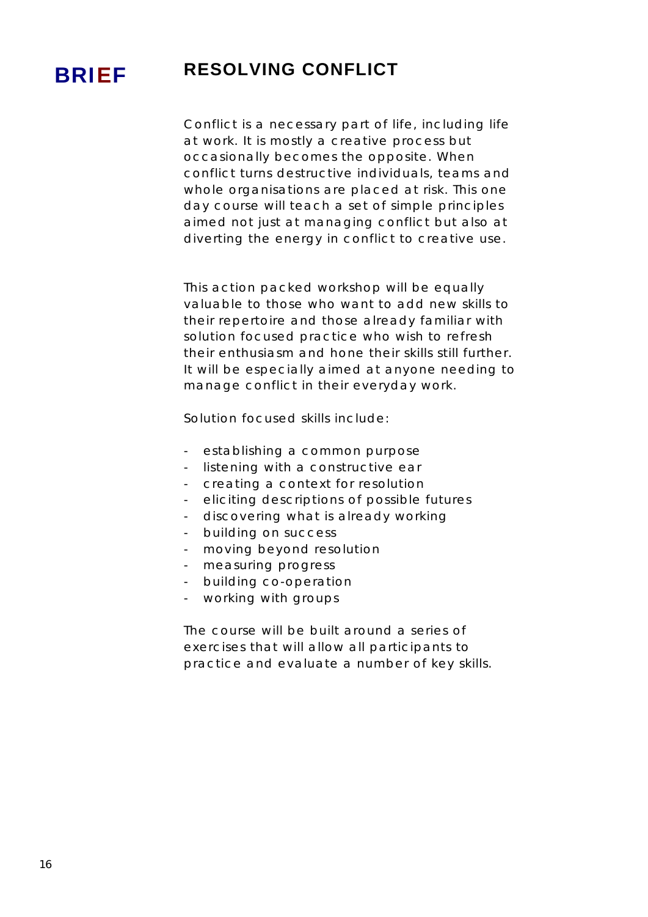# BRIEF **RESOLVING CONFLICT**

Conflict is a necessary part of life, including life at work. It is mostly a creative process but occasionally becomes the opposite. When conflict turns destructive individuals, teams and whole organisations are placed at risk. This one day course will teach a set of simple principles aimed not just at managing conflict but also at diverting the energy in conflict to creative use.

This action packed workshop will be equally valuable to those who want to add new skills to their repertoire and those already familiar with solution focused practice who wish to refresh their enthusiasm and hone their skills still further. It will be especially aimed at anyone needing to manage conflict in their everyday work.

Solution focused skills include:

- establishing a common purpose
- listening with a constructive ear
- creating a context for resolution
- eliciting descriptions of possible futures
- discovering what is already working
- building on success
- moving beyond resolution
- measuring progress
- building co-operation
- working with groups

The course will be built around a series of exercises that will allow all participants to practice and evaluate a number of key skills.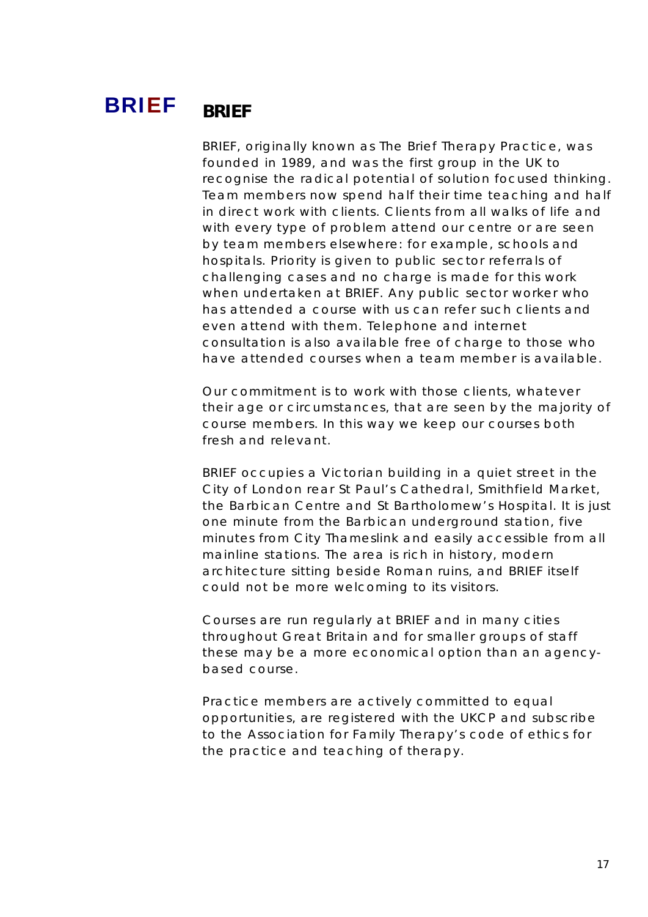# BRIEF **BRIEF**

BRIEF, originally known as The Brief Therapy Practice, was founded in 1989, and was the first group in the UK to recognise the radical potential of solution focused thinking. Team members now spend half their time teaching and half in direct work with clients. Clients from all walks of life and with every type of problem attend our centre or are seen by team members elsewhere: for example, schools and hospitals. Priority is given to public sector referrals of challenging cases and no charge is made for this work when undertaken at BRIEF. Any public sector worker who has attended a course with us can refer such clients and even attend with them. Telephone and internet consultation is also available free of charge to those who have attended courses when a team member is available.

Our commitment is to work with those clients, whatever their age or circumstances, that are seen by the majority of course members. In this way we keep our courses both fresh and relevant.

BRIEF occupies a Victorian building in a quiet street in the City of London rear St Paul's Cathedral, Smithfield Market, the Barbican Centre and St Bartholomew's Hospital. It is just one minute from the Barbican underground station, five minutes from City Thameslink and easily accessible from all mainline stations. The area is rich in history, modern architecture sitting beside Roman ruins, and BRIEF itself could not be more welcoming to its visitors.

Courses are run regularly at BRIEF and in many cities throughout Great Britain and for smaller groups of staff these may be a more economical option than an agencybased course.

Practice members are actively committed to equal opportunities, are registered with the UKCP and subscribe to the Association for Family Therapy's code of ethics for the practice and teaching of therapy.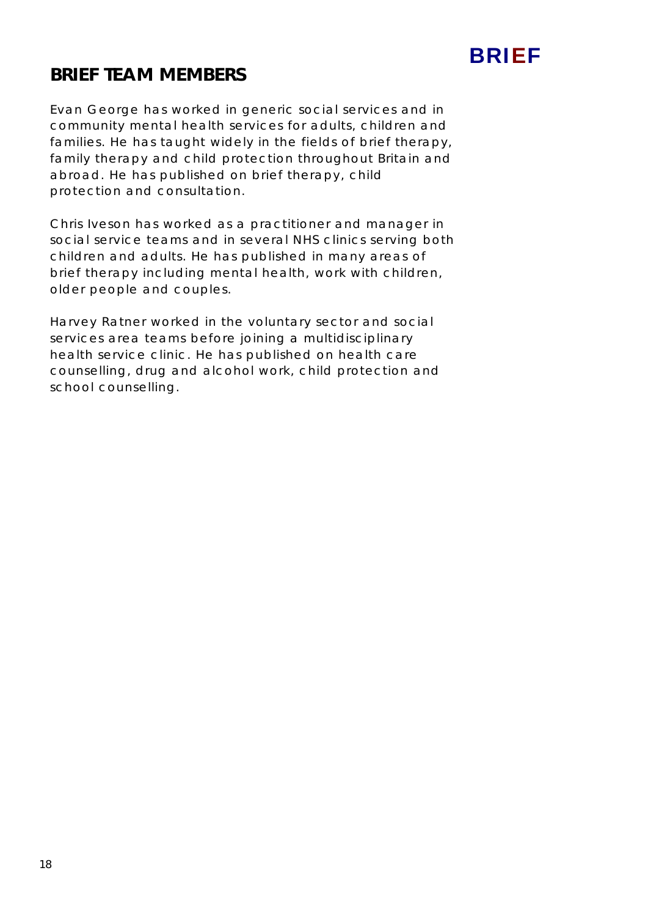

## **BRIEF TEAM MEMBERS**

Evan George has worked in generic social services and in community mental health services for adults, children and families. He has taught widely in the fields of brief therapy, family therapy and child protection throughout Britain and abroad. He has published on brief therapy, child protection and consultation.

Chris Iveson has worked as a practitioner and manager in social service teams and in several NHS clinics serving both children and adults. He has published in many areas of brief therapy including mental health, work with children, older people and couples.

Harvey Ratner worked in the voluntary sector and social services area teams before joining a multidisciplinary health service clinic. He has published on health care counselling, drug and alcohol work, child protection and school counselling.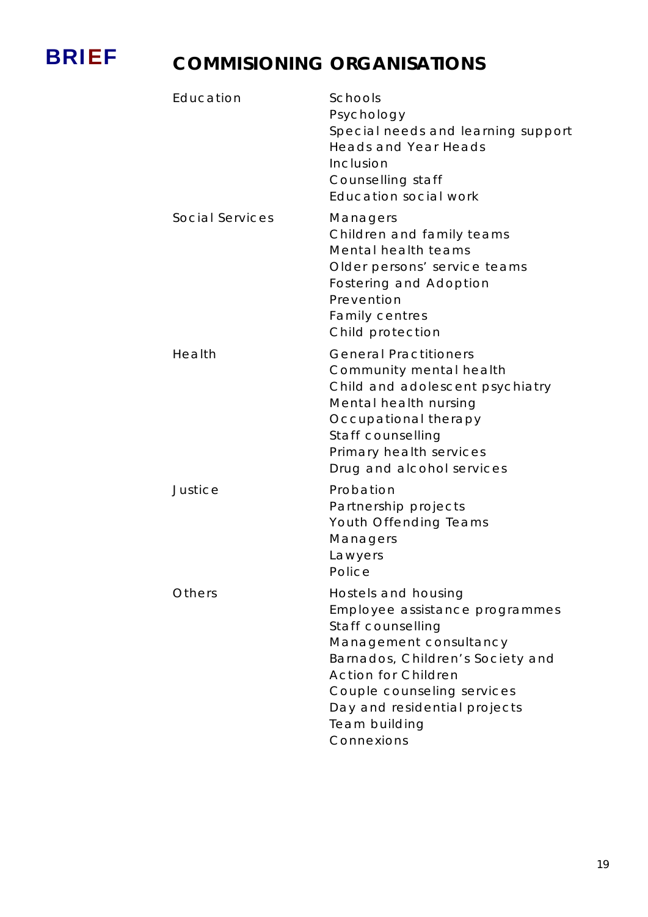

# **BRIEF** COMMISIONING ORGANISATIONS

| Education       | Schools<br>Psychology<br>Special needs and learning support<br><b>Heads and Year Heads</b><br>Inclusion<br>Counselling staff<br>Education social work                                                                                                               |
|-----------------|---------------------------------------------------------------------------------------------------------------------------------------------------------------------------------------------------------------------------------------------------------------------|
| Social Services | Managers<br>Children and family teams<br>Mental health teams<br>Older persons' service teams<br>Fostering and Adoption<br>Prevention<br><b>Family centres</b><br>Child protection                                                                                   |
| Health          | <b>General Practitioners</b><br>Community mental health<br>Child and adolescent psychiatry<br>Mental health nursing<br>Occupational therapy<br>Staff counselling<br>Primary health services<br>Drug and alcohol services                                            |
| Justice         | Probation<br>Partnership projects<br>Youth Offending Teams<br>Managers<br>Lawyers<br>Police                                                                                                                                                                         |
| Others          | Hostels and housing<br>Employee assistance programmes<br>Staff counselling<br>Management consultancy<br>Barnados, Children's Society and<br><b>Action for Children</b><br>Couple counseling services<br>Day and residential projects<br>Team building<br>Connexions |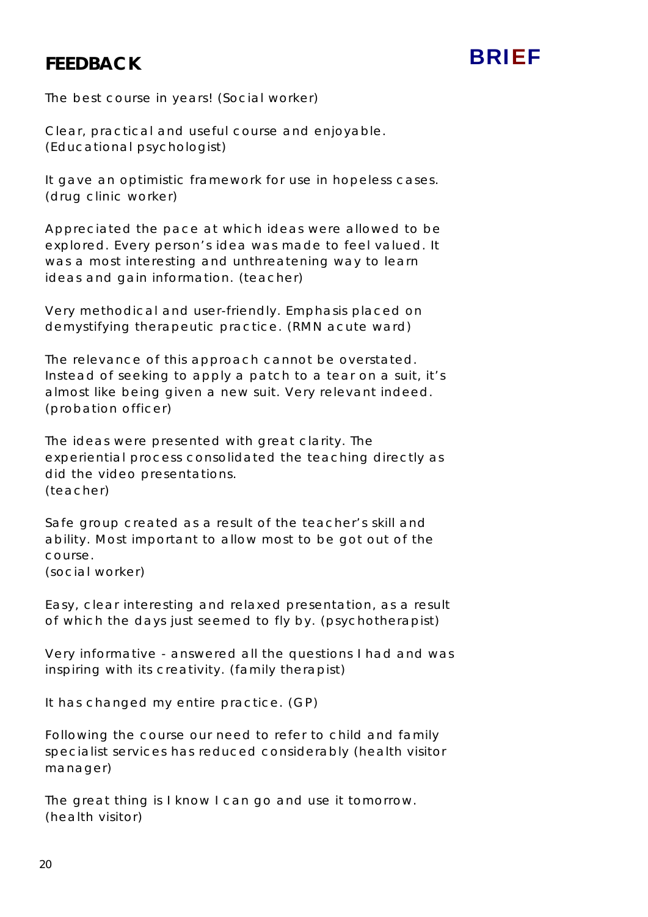## **FEEDBACK**

# BRIEF

The best course in years! (Social worker)

Clear, practical and useful course and enjoyable. (Educational psychologist)

It gave an optimistic framework for use in hopeless cases. (drug clinic worker)

Appreciated the pace at which ideas were allowed to be explored. Every person's idea was made to feel valued. It was a most interesting and unthreatening way to learn ideas and gain information. (teacher)

Very methodical and user-friendly. Emphasis placed on demystifying therapeutic practice. (RMN acute ward)

The relevance of this approach cannot be overstated. Instead of seeking to apply a patch to a tear on a suit, it's almost like being given a new suit. Very relevant indeed. (probation officer)

The ideas were presented with great clarity. The experiential process consolidated the teaching directly as did the video presentations. (teacher)

Safe group created as a result of the teacher's skill and ability. Most important to allow most to be got out of the course. (social worker)

Easy, clear interesting and relaxed presentation, as a result

of which the days just seemed to fly by. (psychotherapist)

Very informative - answered all the questions I had and was inspiring with its creativity. (family therapist)

It has changed my entire practice. (GP)

Following the course our need to refer to child and family specialist services has reduced considerably (health visitor manager)

The great thing is I know I can go and use it tomorrow. (health visitor)